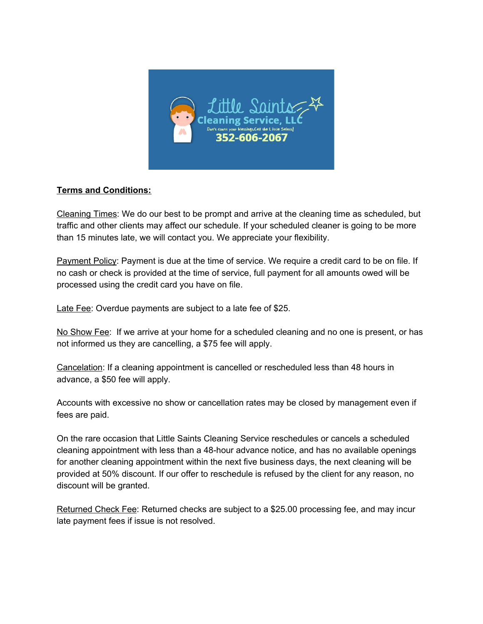

## **Terms and Conditions:**

Cleaning Times: We do our best to be prompt and arrive at the cleaning time as scheduled, but traffic and other clients may affect our schedule. If your scheduled cleaner is going to be more than 15 minutes late, we will contact you. We appreciate your flexibility.

Payment Policy: Payment is due at the time of service. We require a credit card to be on file. If no cash or check is provided at the time of service, full payment for all amounts owed will be processed using the credit card you have on file.

Late Fee: Overdue payments are subject to a late fee of \$25.

No Show Fee: If we arrive at your home for a scheduled cleaning and no one is present, or has not informed us they are cancelling, a \$75 fee will apply.

Cancelation: If a cleaning appointment is cancelled or rescheduled less than 48 hours in advance, a \$50 fee will apply.

Accounts with excessive no show or cancellation rates may be closed by management even if fees are paid.

On the rare occasion that Little Saints Cleaning Service reschedules or cancels a scheduled cleaning appointment with less than a 48-hour advance notice, and has no available openings for another cleaning appointment within the next five business days, the next cleaning will be provided at 50% discount. If our offer to reschedule is refused by the client for any reason, no discount will be granted.

Returned Check Fee: Returned checks are subject to a \$25.00 processing fee, and may incur late payment fees if issue is not resolved.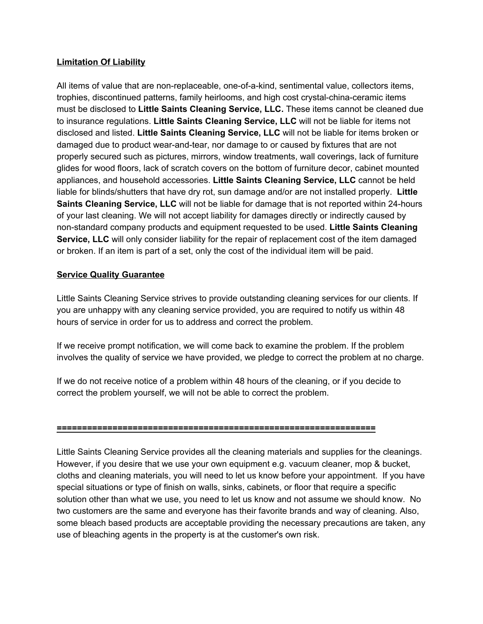## **Limitation Of Liability**

All items of value that are non-replaceable, one-of-a-kind, sentimental value, collectors items, trophies, discontinued patterns, family heirlooms, and high cost crystal-china-ceramic items must be disclosed to **Little Saints Cleaning Service, LLC.** These items cannot be cleaned due to insurance regulations. **Little Saints Cleaning Service, LLC** will not be liable for items not disclosed and listed. **Little Saints Cleaning Service, LLC** will not be liable for items broken or damaged due to product wear-and-tear, nor damage to or caused by fixtures that are not properly secured such as pictures, mirrors, window treatments, wall coverings, lack of furniture glides for wood floors, lack of scratch covers on the bottom of furniture decor, cabinet mounted appliances, and household accessories. **Little Saints Cleaning Service, LLC** cannot be held liable for blinds/shutters that have dry rot, sun damage and/or are not installed properly. **Little Saints Cleaning Service, LLC** will not be liable for damage that is not reported within 24-hours of your last cleaning. We will not accept liability for damages directly or indirectly caused by non-standard company products and equipment requested to be used. **Little Saints Cleaning Service, LLC** will only consider liability for the repair of replacement cost of the item damaged or broken. If an item is part of a set, only the cost of the individual item will be paid.

## **Service Quality Guarantee**

Little Saints Cleaning Service strives to provide outstanding cleaning services for our clients. If you are unhappy with any cleaning service provided, you are required to notify us within 48 hours of service in order for us to address and correct the problem.

If we receive prompt notification, we will come back to examine the problem. If the problem involves the quality of service we have provided, we pledge to correct the problem at no charge.

If we do not receive notice of a problem within 48 hours of the cleaning, or if you decide to correct the problem yourself, we will not be able to correct the problem.

#### **===============================================================**

Little Saints Cleaning Service provides all the cleaning materials and supplies for the cleanings. However, if you desire that we use your own equipment e.g. vacuum cleaner, mop & bucket, cloths and cleaning materials, you will need to let us know before your appointment. If you have special situations or type of finish on walls, sinks, cabinets, or floor that require a specific solution other than what we use, you need to let us know and not assume we should know. No two customers are the same and everyone has their favorite brands and way of cleaning. Also, some bleach based products are acceptable providing the necessary precautions are taken, any use of bleaching agents in the property is at the customer's own risk.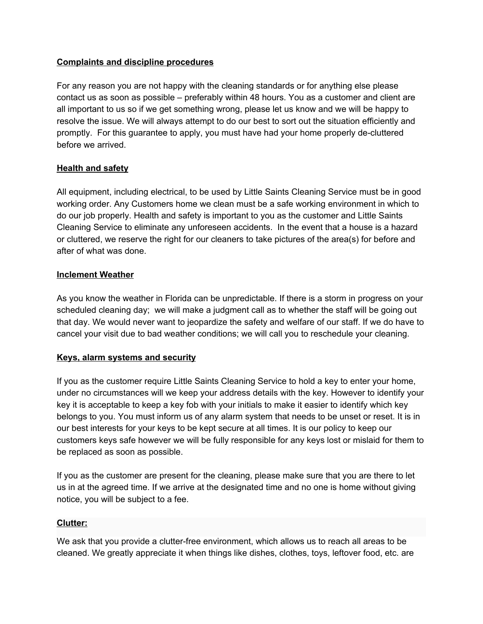## **Complaints and discipline procedures**

For any reason you are not happy with the cleaning standards or for anything else please contact us as soon as possible – preferably within 48 hours. You as a customer and client are all important to us so if we get something wrong, please let us know and we will be happy to resolve the issue. We will always attempt to do our best to sort out the situation efficiently and promptly. For this guarantee to apply, you must have had your home properly de-cluttered before we arrived.

## **Health and safety**

All equipment, including electrical, to be used by Little Saints Cleaning Service must be in good working order. Any Customers home we clean must be a safe working environment in which to do our job properly. Health and safety is important to you as the customer and Little Saints Cleaning Service to eliminate any unforeseen accidents. In the event that a house is a hazard or cluttered, we reserve the right for our cleaners to take pictures of the area(s) for before and after of what was done.

## **Inclement Weather**

As you know the weather in Florida can be unpredictable. If there is a storm in progress on your scheduled cleaning day; we will make a judgment call as to whether the staff will be going out that day. We would never want to jeopardize the safety and welfare of our staff. If we do have to cancel your visit due to bad weather conditions; we will call you to reschedule your cleaning.

#### **Keys, alarm systems and security**

If you as the customer require Little Saints Cleaning Service to hold a key to enter your home, under no circumstances will we keep your address details with the key. However to identify your key it is acceptable to keep a key fob with your initials to make it easier to identify which key belongs to you. You must inform us of any alarm system that needs to be unset or reset. It is in our best interests for your keys to be kept secure at all times. It is our policy to keep our customers keys safe however we will be fully responsible for any keys lost or mislaid for them to be replaced as soon as possible.

If you as the customer are present for the cleaning, please make sure that you are there to let us in at the agreed time. If we arrive at the designated time and no one is home without giving notice, you will be subject to a fee.

#### **Clutter:**

We ask that you provide a clutter-free environment, which allows us to reach all areas to be cleaned. We greatly appreciate it when things like dishes, clothes, toys, leftover food, etc. are